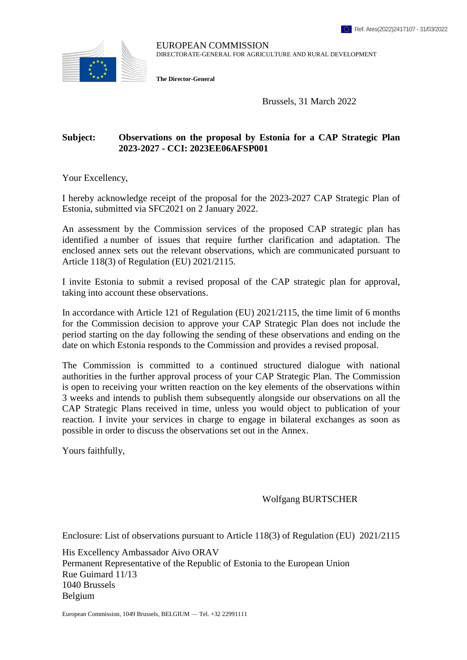

EUROPEAN COMMISSION DIRECTORATE-GENERAL FOR AGRICULTURE AND RURAL DEVELOPMENT

**The Director-General**

Brussels, 31 March 2022

## **Subject: Observations on the proposal by Estonia for a CAP Strategic Plan 2023-2027 - CCI: 2023EE06AFSP001**

Your Excellency,

I hereby acknowledge receipt of the proposal for the 2023-2027 CAP Strategic Plan of Estonia, submitted via SFC2021 on 2 January 2022.

An assessment by the Commission services of the proposed CAP strategic plan has identified a number of issues that require further clarification and adaptation. The enclosed annex sets out the relevant observations, which are communicated pursuant to Article 118(3) of Regulation (EU) 2021/2115.

I invite Estonia to submit a revised proposal of the CAP strategic plan for approval, taking into account these observations.

In accordance with Article 121 of Regulation (EU) 2021/2115, the time limit of 6 months for the Commission decision to approve your CAP Strategic Plan does not include the period starting on the day following the sending of these observations and ending on the date on which Estonia responds to the Commission and provides a revised proposal.

The Commission is committed to a continued structured dialogue with national authorities in the further approval process of your CAP Strategic Plan. The Commission is open to receiving your written reaction on the key elements of the observations within 3 weeks and intends to publish them subsequently alongside our observations on all the CAP Strategic Plans received in time, unless you would object to publication of your reaction. I invite your services in charge to engage in bilateral exchanges as soon as possible in order to discuss the observations set out in the Annex.

Yours faithfully,

Wolfgang BURTSCHER

Enclosure: List of observations pursuant to Article 118(3) of Regulation (EU) 2021/2115

His Excellency Ambassador Aivo ORAV Permanent Representative of the Republic of Estonia to the European Union Rue Guimard 11/13 1040 Brussels Belgium

European Commission, 1049 Brussels, BELGIUM — Tel. +32 22991111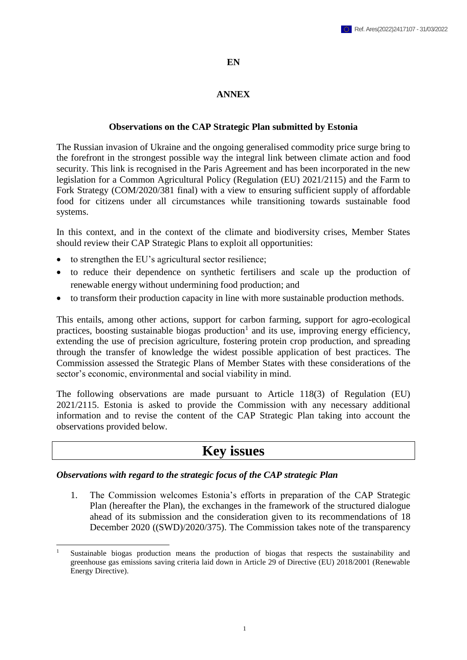# **EN**

# **ANNEX**

# **Observations on the CAP Strategic Plan submitted by Estonia**

The Russian invasion of Ukraine and the ongoing generalised commodity price surge bring to the forefront in the strongest possible way the integral link between climate action and food security. This link is recognised in the Paris Agreement and has been incorporated in the new legislation for a Common Agricultural Policy (Regulation (EU) 2021/2115) and the Farm to Fork Strategy (COM/2020/381 final) with a view to ensuring sufficient supply of affordable food for citizens under all circumstances while transitioning towards sustainable food systems.

In this context, and in the context of the climate and biodiversity crises, Member States should review their CAP Strategic Plans to exploit all opportunities:

- to strengthen the EU's agricultural sector resilience;
- to reduce their dependence on synthetic fertilisers and scale up the production of renewable energy without undermining food production; and
- to transform their production capacity in line with more sustainable production methods.

This entails, among other actions, support for carbon farming, support for agro-ecological practices, boosting sustainable biogas production<sup>1</sup> and its use, improving energy efficiency, extending the use of precision agriculture, fostering protein crop production, and spreading through the transfer of knowledge the widest possible application of best practices. The Commission assessed the Strategic Plans of Member States with these considerations of the sector's economic, environmental and social viability in mind.

The following observations are made pursuant to Article 118(3) of Regulation (EU) 2021/2115. Estonia is asked to provide the Commission with any necessary additional information and to revise the content of the CAP Strategic Plan taking into account the observations provided below.

# **Key issues**

# *Observations with regard to the strategic focus of the CAP strategic Plan*

1. The Commission welcomes Estonia's efforts in preparation of the CAP Strategic Plan (hereafter the Plan), the exchanges in the framework of the structured dialogue ahead of its submission and the consideration given to its recommendations of 18 December 2020 ((SWD)/2020/375). The Commission takes note of the transparency

**<sup>.</sup>** Sustainable biogas production means the production of biogas that respects the sustainability and greenhouse gas emissions saving criteria laid down in Article 29 of Directive (EU) 2018/2001 (Renewable Energy Directive).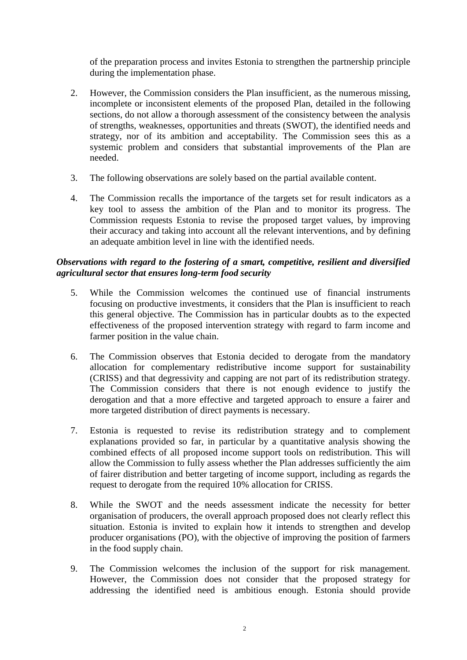of the preparation process and invites Estonia to strengthen the partnership principle during the implementation phase.

- 2. However, the Commission considers the Plan insufficient, as the numerous missing, incomplete or inconsistent elements of the proposed Plan, detailed in the following sections, do not allow a thorough assessment of the consistency between the analysis of strengths, weaknesses, opportunities and threats (SWOT), the identified needs and strategy, nor of its ambition and acceptability. The Commission sees this as a systemic problem and considers that substantial improvements of the Plan are needed.
- 3. The following observations are solely based on the partial available content.
- 4. The Commission recalls the importance of the targets set for result indicators as a key tool to assess the ambition of the Plan and to monitor its progress. The Commission requests Estonia to revise the proposed target values, by improving their accuracy and taking into account all the relevant interventions, and by defining an adequate ambition level in line with the identified needs.

# *Observations with regard to the fostering of a smart, competitive, resilient and diversified agricultural sector that ensures long-term food security*

- 5. While the Commission welcomes the continued use of financial instruments focusing on productive investments, it considers that the Plan is insufficient to reach this general objective. The Commission has in particular doubts as to the expected effectiveness of the proposed intervention strategy with regard to farm income and farmer position in the value chain.
- 6. The Commission observes that Estonia decided to derogate from the mandatory allocation for complementary redistributive income support for sustainability (CRISS) and that degressivity and capping are not part of its redistribution strategy. The Commission considers that there is not enough evidence to justify the derogation and that a more effective and targeted approach to ensure a fairer and more targeted distribution of direct payments is necessary.
- 7. Estonia is requested to revise its redistribution strategy and to complement explanations provided so far, in particular by a quantitative analysis showing the combined effects of all proposed income support tools on redistribution. This will allow the Commission to fully assess whether the Plan addresses sufficiently the aim of fairer distribution and better targeting of income support, including as regards the request to derogate from the required 10% allocation for CRISS.
- 8. While the SWOT and the needs assessment indicate the necessity for better organisation of producers, the overall approach proposed does not clearly reflect this situation. Estonia is invited to explain how it intends to strengthen and develop producer organisations (PO), with the objective of improving the position of farmers in the food supply chain.
- 9. The Commission welcomes the inclusion of the support for risk management. However, the Commission does not consider that the proposed strategy for addressing the identified need is ambitious enough. Estonia should provide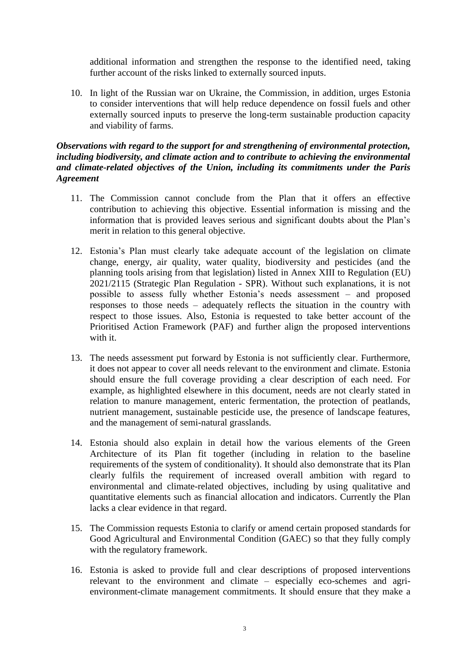additional information and strengthen the response to the identified need, taking further account of the risks linked to externally sourced inputs.

10. In light of the Russian war on Ukraine, the Commission, in addition, urges Estonia to consider interventions that will help reduce dependence on fossil fuels and other externally sourced inputs to preserve the long-term sustainable production capacity and viability of farms.

## *Observations with regard to the support for and strengthening of environmental protection, including biodiversity, and climate action and to contribute to achieving the environmental and climate-related objectives of the Union, including its commitments under the Paris Agreement*

- 11. The Commission cannot conclude from the Plan that it offers an effective contribution to achieving this objective. Essential information is missing and the information that is provided leaves serious and significant doubts about the Plan's merit in relation to this general objective.
- 12. Estonia's Plan must clearly take adequate account of the legislation on climate change, energy, air quality, water quality, biodiversity and pesticides (and the planning tools arising from that legislation) listed in Annex XIII to Regulation (EU) 2021/2115 (Strategic Plan Regulation - SPR). Without such explanations, it is not possible to assess fully whether Estonia's needs assessment – and proposed responses to those needs – adequately reflects the situation in the country with respect to those issues. Also, Estonia is requested to take better account of the Prioritised Action Framework (PAF) and further align the proposed interventions with it.
- 13. The needs assessment put forward by Estonia is not sufficiently clear. Furthermore, it does not appear to cover all needs relevant to the environment and climate. Estonia should ensure the full coverage providing a clear description of each need. For example, as highlighted elsewhere in this document, needs are not clearly stated in relation to manure management, enteric fermentation, the protection of peatlands, nutrient management, sustainable pesticide use, the presence of landscape features, and the management of semi-natural grasslands.
- 14. Estonia should also explain in detail how the various elements of the Green Architecture of its Plan fit together (including in relation to the baseline requirements of the system of conditionality). It should also demonstrate that its Plan clearly fulfils the requirement of increased overall ambition with regard to environmental and climate-related objectives, including by using qualitative and quantitative elements such as financial allocation and indicators. Currently the Plan lacks a clear evidence in that regard.
- 15. The Commission requests Estonia to clarify or amend certain proposed standards for Good Agricultural and Environmental Condition (GAEC) so that they fully comply with the regulatory framework.
- 16. Estonia is asked to provide full and clear descriptions of proposed interventions relevant to the environment and climate – especially eco-schemes and agrienvironment-climate management commitments. It should ensure that they make a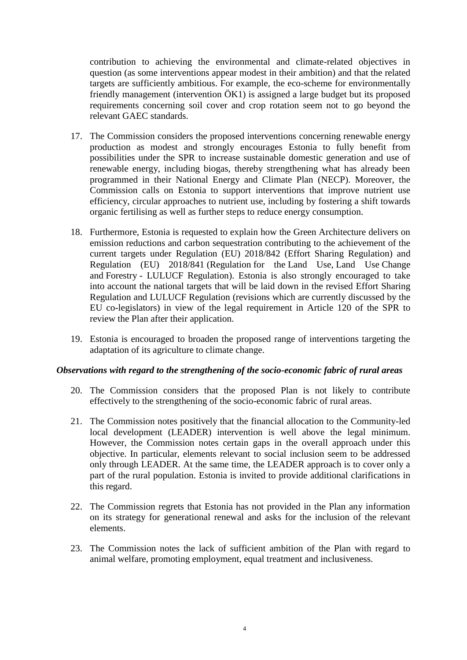contribution to achieving the environmental and climate-related objectives in question (as some interventions appear modest in their ambition) and that the related targets are sufficiently ambitious. For example, the eco-scheme for environmentally friendly management (intervention ÖK1) is assigned a large budget but its proposed requirements concerning soil cover and crop rotation seem not to go beyond the relevant GAEC standards.

- 17. The Commission considers the proposed interventions concerning renewable energy production as modest and strongly encourages Estonia to fully benefit from possibilities under the SPR to increase sustainable domestic generation and use of renewable energy, including biogas, thereby strengthening what has already been programmed in their National Energy and Climate Plan (NECP). Moreover, the Commission calls on Estonia to support interventions that improve nutrient use efficiency, circular approaches to nutrient use, including by fostering a shift towards organic fertilising as well as further steps to reduce energy consumption.
- 18. Furthermore, Estonia is requested to explain how the Green Architecture delivers on emission reductions and carbon sequestration contributing to the achievement of the current targets under Regulation (EU) 2018/842 (Effort Sharing Regulation) and Regulation (EU) 2018/841 (Regulation for the Land Use, Land Use Change and Forestry - LULUCF Regulation). Estonia is also strongly encouraged to take into account the national targets that will be laid down in the revised Effort Sharing Regulation and LULUCF Regulation (revisions which are currently discussed by the EU co-legislators) in view of the legal requirement in Article 120 of the SPR to review the Plan after their application.
- 19. Estonia is encouraged to broaden the proposed range of interventions targeting the adaptation of its agriculture to climate change.

## *Observations with regard to the strengthening of the socio-economic fabric of rural areas*

- 20. The Commission considers that the proposed Plan is not likely to contribute effectively to the strengthening of the socio-economic fabric of rural areas.
- 21. The Commission notes positively that the financial allocation to the Community-led local development (LEADER) intervention is well above the legal minimum. However, the Commission notes certain gaps in the overall approach under this objective. In particular, elements relevant to social inclusion seem to be addressed only through LEADER. At the same time, the LEADER approach is to cover only a part of the rural population. Estonia is invited to provide additional clarifications in this regard.
- 22. The Commission regrets that Estonia has not provided in the Plan any information on its strategy for generational renewal and asks for the inclusion of the relevant elements.
- 23. The Commission notes the lack of sufficient ambition of the Plan with regard to animal welfare, promoting employment, equal treatment and inclusiveness.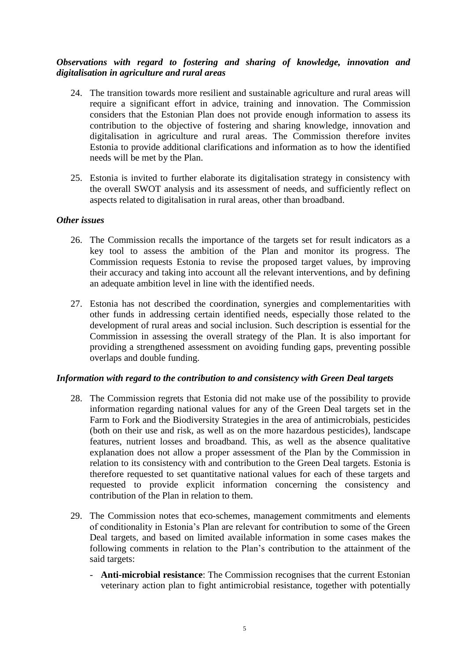# *Observations with regard to fostering and sharing of knowledge, innovation and digitalisation in agriculture and rural areas*

- 24. The transition towards more resilient and sustainable agriculture and rural areas will require a significant effort in advice, training and innovation. The Commission considers that the Estonian Plan does not provide enough information to assess its contribution to the objective of fostering and sharing knowledge, innovation and digitalisation in agriculture and rural areas. The Commission therefore invites Estonia to provide additional clarifications and information as to how the identified needs will be met by the Plan.
- 25. Estonia is invited to further elaborate its digitalisation strategy in consistency with the overall SWOT analysis and its assessment of needs, and sufficiently reflect on aspects related to digitalisation in rural areas, other than broadband.

## *Other issues*

- 26. The Commission recalls the importance of the targets set for result indicators as a key tool to assess the ambition of the Plan and monitor its progress. The Commission requests Estonia to revise the proposed target values, by improving their accuracy and taking into account all the relevant interventions, and by defining an adequate ambition level in line with the identified needs.
- 27. Estonia has not described the coordination, synergies and complementarities with other funds in addressing certain identified needs, especially those related to the development of rural areas and social inclusion. Such description is essential for the Commission in assessing the overall strategy of the Plan. It is also important for providing a strengthened assessment on avoiding funding gaps, preventing possible overlaps and double funding.

## *Information with regard to the contribution to and consistency with Green Deal targets*

- 28. The Commission regrets that Estonia did not make use of the possibility to provide information regarding national values for any of the Green Deal targets set in the Farm to Fork and the Biodiversity Strategies in the area of antimicrobials, pesticides (both on their use and risk, as well as on the more hazardous pesticides), landscape features, nutrient losses and broadband. This, as well as the absence qualitative explanation does not allow a proper assessment of the Plan by the Commission in relation to its consistency with and contribution to the Green Deal targets. Estonia is therefore requested to set quantitative national values for each of these targets and requested to provide explicit information concerning the consistency and contribution of the Plan in relation to them.
- 29. The Commission notes that eco-schemes, management commitments and elements of conditionality in Estonia's Plan are relevant for contribution to some of the Green Deal targets, and based on limited available information in some cases makes the following comments in relation to the Plan's contribution to the attainment of the said targets:
	- **Anti-microbial resistance**: The Commission recognises that the current Estonian veterinary action plan to fight antimicrobial resistance, together with potentially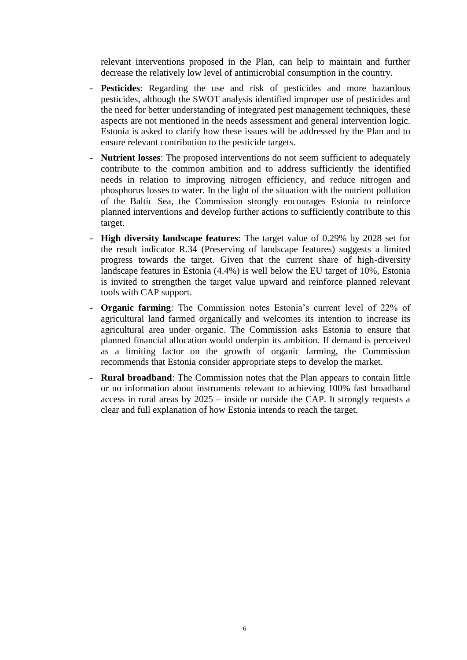relevant interventions proposed in the Plan, can help to maintain and further decrease the relatively low level of antimicrobial consumption in the country.

- **Pesticides**: Regarding the use and risk of pesticides and more hazardous pesticides, although the SWOT analysis identified improper use of pesticides and the need for better understanding of integrated pest management techniques, these aspects are not mentioned in the needs assessment and general intervention logic. Estonia is asked to clarify how these issues will be addressed by the Plan and to ensure relevant contribution to the pesticide targets.
- **Nutrient losses**: The proposed interventions do not seem sufficient to adequately contribute to the common ambition and to address sufficiently the identified needs in relation to improving nitrogen efficiency, and reduce nitrogen and phosphorus losses to water. In the light of the situation with the nutrient pollution of the Baltic Sea, the Commission strongly encourages Estonia to reinforce planned interventions and develop further actions to sufficiently contribute to this target.
- **High diversity landscape features**: The target value of 0.29% by 2028 set for the result indicator R.34 (Preserving of landscape features) suggests a limited progress towards the target. Given that the current share of high-diversity landscape features in Estonia (4.4%) is well below the EU target of 10%, Estonia is invited to strengthen the target value upward and reinforce planned relevant tools with CAP support.
- **Organic farming**: The Commission notes Estonia's current level of 22% of agricultural land farmed organically and welcomes its intention to increase its agricultural area under organic. The Commission asks Estonia to ensure that planned financial allocation would underpin its ambition. If demand is perceived as a limiting factor on the growth of organic farming, the Commission recommends that Estonia consider appropriate steps to develop the market.
- **Rural broadband**: The Commission notes that the Plan appears to contain little or no information about instruments relevant to achieving 100% fast broadband access in rural areas by 2025 – inside or outside the CAP. It strongly requests a clear and full explanation of how Estonia intends to reach the target.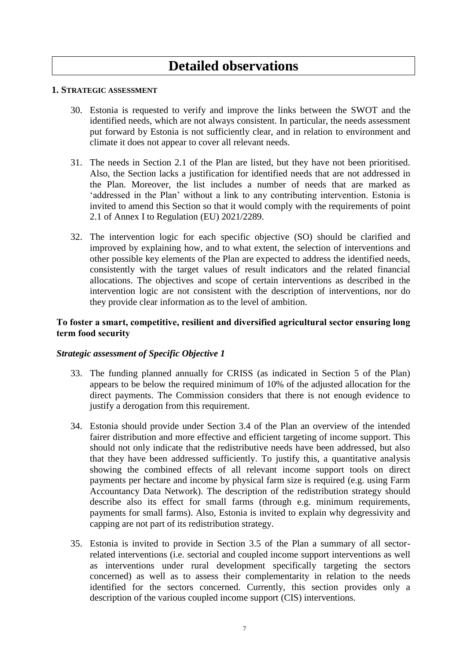# **Detailed observations**

#### **1. STRATEGIC ASSESSMENT**

- 30. Estonia is requested to verify and improve the links between the SWOT and the identified needs, which are not always consistent. In particular, the needs assessment put forward by Estonia is not sufficiently clear, and in relation to environment and climate it does not appear to cover all relevant needs.
- 31. The needs in Section 2.1 of the Plan are listed, but they have not been prioritised. Also, the Section lacks a justification for identified needs that are not addressed in the Plan. Moreover, the list includes a number of needs that are marked as 'addressed in the Plan' without a link to any contributing intervention. Estonia is invited to amend this Section so that it would comply with the requirements of point 2.1 of Annex I to Regulation (EU) 2021/2289.
- 32. The intervention logic for each specific objective (SO) should be clarified and improved by explaining how, and to what extent, the selection of interventions and other possible key elements of the Plan are expected to address the identified needs, consistently with the target values of result indicators and the related financial allocations. The objectives and scope of certain interventions as described in the intervention logic are not consistent with the description of interventions, nor do they provide clear information as to the level of ambition.

## **To foster a smart, competitive, resilient and diversified agricultural sector ensuring long term food security**

- 33. The funding planned annually for CRISS (as indicated in Section 5 of the Plan) appears to be below the required minimum of 10% of the adjusted allocation for the direct payments. The Commission considers that there is not enough evidence to justify a derogation from this requirement.
- 34. Estonia should provide under Section 3.4 of the Plan an overview of the intended fairer distribution and more effective and efficient targeting of income support. This should not only indicate that the redistributive needs have been addressed, but also that they have been addressed sufficiently. To justify this, a quantitative analysis showing the combined effects of all relevant income support tools on direct payments per hectare and income by physical farm size is required (e.g. using Farm Accountancy Data Network). The description of the redistribution strategy should describe also its effect for small farms (through e.g. minimum requirements, payments for small farms). Also, Estonia is invited to explain why degressivity and capping are not part of its redistribution strategy.
- 35. Estonia is invited to provide in Section 3.5 of the Plan a summary of all sectorrelated interventions (i.e. sectorial and coupled income support interventions as well as interventions under rural development specifically targeting the sectors concerned) as well as to assess their complementarity in relation to the needs identified for the sectors concerned. Currently, this section provides only a description of the various coupled income support (CIS) interventions.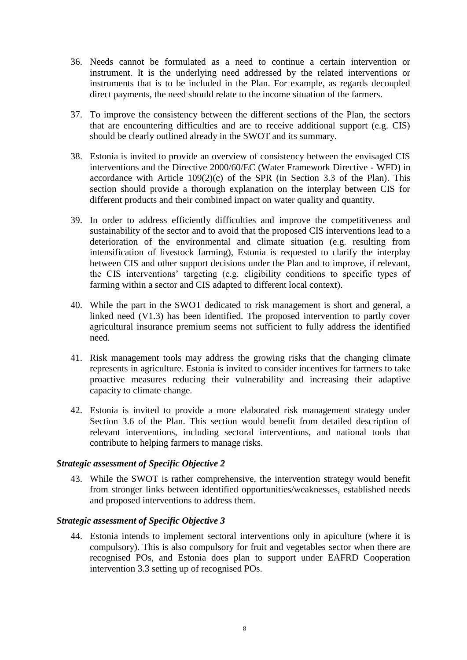- 36. Needs cannot be formulated as a need to continue a certain intervention or instrument. It is the underlying need addressed by the related interventions or instruments that is to be included in the Plan. For example, as regards decoupled direct payments, the need should relate to the income situation of the farmers.
- 37. To improve the consistency between the different sections of the Plan, the sectors that are encountering difficulties and are to receive additional support (e.g. CIS) should be clearly outlined already in the SWOT and its summary.
- 38. Estonia is invited to provide an overview of consistency between the envisaged CIS interventions and the Directive 2000/60/EC (Water Framework Directive - WFD) in accordance with Article  $109(2)(c)$  of the SPR (in Section 3.3 of the Plan). This section should provide a thorough explanation on the interplay between CIS for different products and their combined impact on water quality and quantity.
- 39. In order to address efficiently difficulties and improve the competitiveness and sustainability of the sector and to avoid that the proposed CIS interventions lead to a deterioration of the environmental and climate situation (e.g. resulting from intensification of livestock farming), Estonia is requested to clarify the interplay between CIS and other support decisions under the Plan and to improve, if relevant, the CIS interventions' targeting (e.g. eligibility conditions to specific types of farming within a sector and CIS adapted to different local context).
- 40. While the part in the SWOT dedicated to risk management is short and general, a linked need (V1.3) has been identified. The proposed intervention to partly cover agricultural insurance premium seems not sufficient to fully address the identified need.
- 41. Risk management tools may address the growing risks that the changing climate represents in agriculture. Estonia is invited to consider incentives for farmers to take proactive measures reducing their vulnerability and increasing their adaptive capacity to climate change.
- 42. Estonia is invited to provide a more elaborated risk management strategy under Section 3.6 of the Plan. This section would benefit from detailed description of relevant interventions, including sectoral interventions, and national tools that contribute to helping farmers to manage risks.

## *Strategic assessment of Specific Objective 2*

43. While the SWOT is rather comprehensive, the intervention strategy would benefit from stronger links between identified opportunities/weaknesses, established needs and proposed interventions to address them.

#### *Strategic assessment of Specific Objective 3*

44. Estonia intends to implement sectoral interventions only in apiculture (where it is compulsory). This is also compulsory for fruit and vegetables sector when there are recognised POs, and Estonia does plan to support under EAFRD Cooperation intervention 3.3 setting up of recognised POs.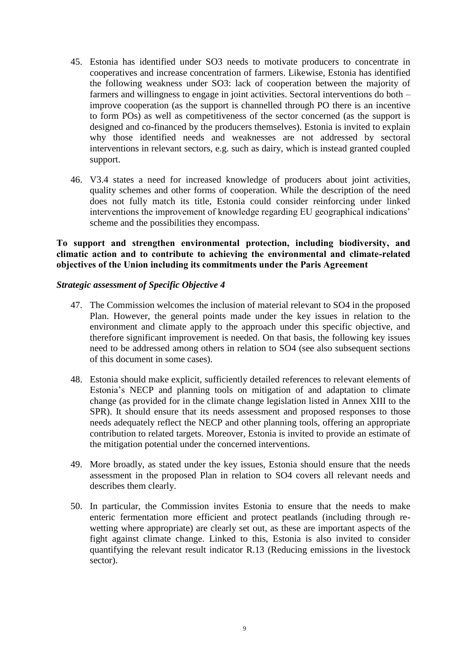- 45. Estonia has identified under SO3 needs to motivate producers to concentrate in cooperatives and increase concentration of farmers. Likewise, Estonia has identified the following weakness under SO3: lack of cooperation between the majority of farmers and willingness to engage in joint activities. Sectoral interventions do both – improve cooperation (as the support is channelled through PO there is an incentive to form POs) as well as competitiveness of the sector concerned (as the support is designed and co-financed by the producers themselves). Estonia is invited to explain why those identified needs and weaknesses are not addressed by sectoral interventions in relevant sectors, e.g. such as dairy, which is instead granted coupled support.
- 46. V3.4 states a need for increased knowledge of producers about joint activities, quality schemes and other forms of cooperation. While the description of the need does not fully match its title, Estonia could consider reinforcing under linked interventions the improvement of knowledge regarding EU geographical indications' scheme and the possibilities they encompass.

# **To support and strengthen environmental protection, including biodiversity, and climatic action and to contribute to achieving the environmental and climate-related objectives of the Union including its commitments under the Paris Agreement**

- 47. The Commission welcomes the inclusion of material relevant to SO4 in the proposed Plan. However, the general points made under the key issues in relation to the environment and climate apply to the approach under this specific objective, and therefore significant improvement is needed. On that basis, the following key issues need to be addressed among others in relation to SO4 (see also subsequent sections of this document in some cases).
- 48. Estonia should make explicit, sufficiently detailed references to relevant elements of Estonia's NECP and planning tools on mitigation of and adaptation to climate change (as provided for in the climate change legislation listed in Annex XIII to the SPR). It should ensure that its needs assessment and proposed responses to those needs adequately reflect the NECP and other planning tools, offering an appropriate contribution to related targets. Moreover, Estonia is invited to provide an estimate of the mitigation potential under the concerned interventions.
- 49. More broadly, as stated under the key issues, Estonia should ensure that the needs assessment in the proposed Plan in relation to SO4 covers all relevant needs and describes them clearly.
- 50. In particular, the Commission invites Estonia to ensure that the needs to make enteric fermentation more efficient and protect peatlands (including through rewetting where appropriate) are clearly set out, as these are important aspects of the fight against climate change. Linked to this, Estonia is also invited to consider quantifying the relevant result indicator R.13 (Reducing emissions in the livestock sector).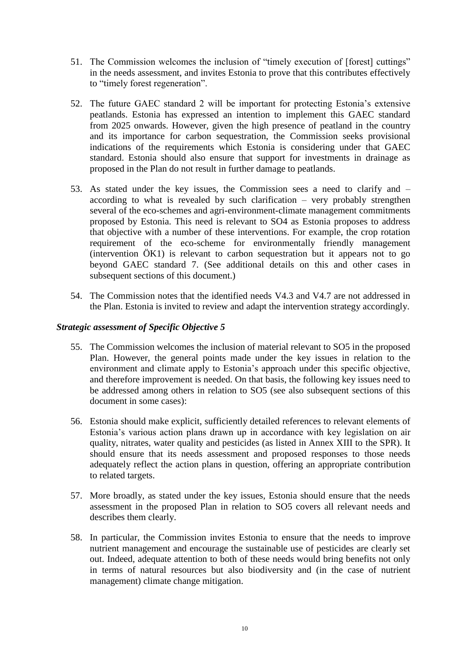- 51. The Commission welcomes the inclusion of "timely execution of [forest] cuttings" in the needs assessment, and invites Estonia to prove that this contributes effectively to "timely forest regeneration".
- 52. The future GAEC standard 2 will be important for protecting Estonia's extensive peatlands. Estonia has expressed an intention to implement this GAEC standard from 2025 onwards. However, given the high presence of peatland in the country and its importance for carbon sequestration, the Commission seeks provisional indications of the requirements which Estonia is considering under that GAEC standard. Estonia should also ensure that support for investments in drainage as proposed in the Plan do not result in further damage to peatlands.
- 53. As stated under the key issues, the Commission sees a need to clarify and according to what is revealed by such clarification – very probably strengthen several of the eco-schemes and agri-environment-climate management commitments proposed by Estonia. This need is relevant to SO4 as Estonia proposes to address that objective with a number of these interventions. For example, the crop rotation requirement of the eco-scheme for environmentally friendly management (intervention ÖK1) is relevant to carbon sequestration but it appears not to go beyond GAEC standard 7. (See additional details on this and other cases in subsequent sections of this document.)
- 54. The Commission notes that the identified needs V4.3 and V4.7 are not addressed in the Plan. Estonia is invited to review and adapt the intervention strategy accordingly.

- 55. The Commission welcomes the inclusion of material relevant to SO5 in the proposed Plan. However, the general points made under the key issues in relation to the environment and climate apply to Estonia's approach under this specific objective, and therefore improvement is needed. On that basis, the following key issues need to be addressed among others in relation to SO5 (see also subsequent sections of this document in some cases):
- 56. Estonia should make explicit, sufficiently detailed references to relevant elements of Estonia's various action plans drawn up in accordance with key legislation on air quality, nitrates, water quality and pesticides (as listed in Annex XIII to the SPR). It should ensure that its needs assessment and proposed responses to those needs adequately reflect the action plans in question, offering an appropriate contribution to related targets.
- 57. More broadly, as stated under the key issues, Estonia should ensure that the needs assessment in the proposed Plan in relation to SO5 covers all relevant needs and describes them clearly.
- 58. In particular, the Commission invites Estonia to ensure that the needs to improve nutrient management and encourage the sustainable use of pesticides are clearly set out. Indeed, adequate attention to both of these needs would bring benefits not only in terms of natural resources but also biodiversity and (in the case of nutrient management) climate change mitigation.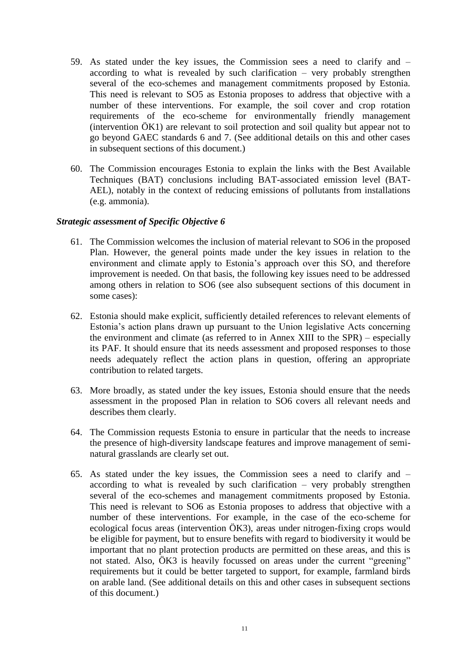- 59. As stated under the key issues, the Commission sees a need to clarify and according to what is revealed by such clarification – very probably strengthen several of the eco-schemes and management commitments proposed by Estonia. This need is relevant to SO5 as Estonia proposes to address that objective with a number of these interventions. For example, the soil cover and crop rotation requirements of the eco-scheme for environmentally friendly management (intervention ÖK1) are relevant to soil protection and soil quality but appear not to go beyond GAEC standards 6 and 7. (See additional details on this and other cases in subsequent sections of this document.)
- 60. The Commission encourages Estonia to explain the links with the Best Available Techniques (BAT) conclusions including BAT-associated emission level (BAT-AEL), notably in the context of reducing emissions of pollutants from installations (e.g. ammonia).

- 61. The Commission welcomes the inclusion of material relevant to SO6 in the proposed Plan. However, the general points made under the key issues in relation to the environment and climate apply to Estonia's approach over this SO, and therefore improvement is needed. On that basis, the following key issues need to be addressed among others in relation to SO6 (see also subsequent sections of this document in some cases):
- 62. Estonia should make explicit, sufficiently detailed references to relevant elements of Estonia's action plans drawn up pursuant to the Union legislative Acts concerning the environment and climate (as referred to in Annex XIII to the SPR) – especially its PAF. It should ensure that its needs assessment and proposed responses to those needs adequately reflect the action plans in question, offering an appropriate contribution to related targets.
- 63. More broadly, as stated under the key issues, Estonia should ensure that the needs assessment in the proposed Plan in relation to SO6 covers all relevant needs and describes them clearly.
- 64. The Commission requests Estonia to ensure in particular that the needs to increase the presence of high-diversity landscape features and improve management of seminatural grasslands are clearly set out.
- 65. As stated under the key issues, the Commission sees a need to clarify and according to what is revealed by such clarification – very probably strengthen several of the eco-schemes and management commitments proposed by Estonia. This need is relevant to SO6 as Estonia proposes to address that objective with a number of these interventions. For example, in the case of the eco-scheme for ecological focus areas (intervention ÖK3), areas under nitrogen-fixing crops would be eligible for payment, but to ensure benefits with regard to biodiversity it would be important that no plant protection products are permitted on these areas, and this is not stated. Also, ÖK3 is heavily focussed on areas under the current "greening" requirements but it could be better targeted to support, for example, farmland birds on arable land. (See additional details on this and other cases in subsequent sections of this document.)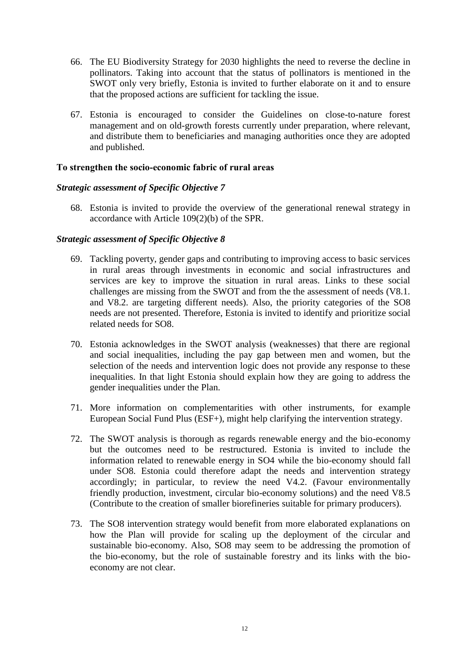- 66. The EU Biodiversity Strategy for 2030 highlights the need to reverse the decline in pollinators. Taking into account that the status of pollinators is mentioned in the SWOT only very briefly, Estonia is invited to further elaborate on it and to ensure that the proposed actions are sufficient for tackling the issue.
- 67. Estonia is encouraged to consider the Guidelines on close-to-nature forest management and on old-growth forests currently under preparation, where relevant, and distribute them to beneficiaries and managing authorities once they are adopted and published.

## **To strengthen the socio-economic fabric of rural areas**

## *Strategic assessment of Specific Objective 7*

68. Estonia is invited to provide the overview of the generational renewal strategy in accordance with Article 109(2)(b) of the SPR.

- 69. Tackling poverty, gender gaps and contributing to improving access to basic services in rural areas through investments in economic and social infrastructures and services are key to improve the situation in rural areas. Links to these social challenges are missing from the SWOT and from the the assessment of needs (V8.1. and V8.2. are targeting different needs). Also, the priority categories of the SO8 needs are not presented. Therefore, Estonia is invited to identify and prioritize social related needs for SO8.
- 70. Estonia acknowledges in the SWOT analysis (weaknesses) that there are regional and social inequalities, including the pay gap between men and women, but the selection of the needs and intervention logic does not provide any response to these inequalities. In that light Estonia should explain how they are going to address the gender inequalities under the Plan.
- 71. More information on complementarities with other instruments, for example European Social Fund Plus (ESF+), might help clarifying the intervention strategy.
- 72. The SWOT analysis is thorough as regards renewable energy and the bio-economy but the outcomes need to be restructured. Estonia is invited to include the information related to renewable energy in SO4 while the bio-economy should fall under SO8. Estonia could therefore adapt the needs and intervention strategy accordingly; in particular, to review the need V4.2. (Favour environmentally friendly production, investment, circular bio-economy solutions) and the need V8.5 (Contribute to the creation of smaller biorefineries suitable for primary producers).
- 73. The SO8 intervention strategy would benefit from more elaborated explanations on how the Plan will provide for scaling up the deployment of the circular and sustainable bio-economy. Also, SO8 may seem to be addressing the promotion of the bio-economy, but the role of sustainable forestry and its links with the bioeconomy are not clear.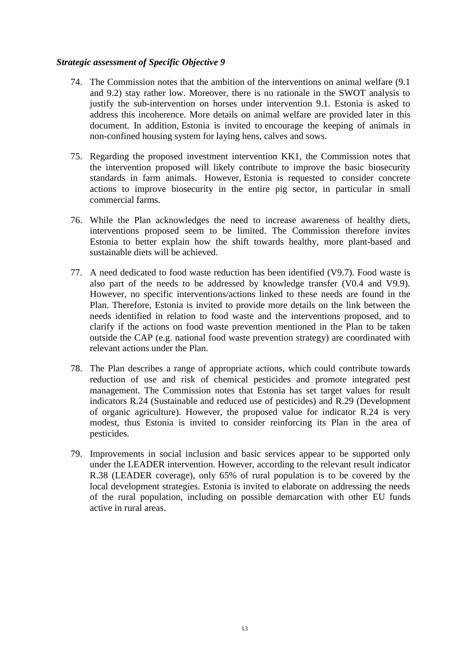- 74. The Commission notes that the ambition of the interventions on animal welfare (9.1 and 9.2) stay rather low. Moreover, there is no rationale in the SWOT analysis to justify the sub-intervention on horses under intervention 9.1. Estonia is asked to address this incoherence. More details on animal welfare are provided later in this document. In addition, Estonia is invited to encourage the keeping of animals in non-confined housing system for laying hens, calves and sows.
- 75. Regarding the proposed investment intervention KK1, the Commission notes that the intervention proposed will likely contribute to improve the basic biosecurity standards in farm animals. However, Estonia is requested to consider concrete actions to improve biosecurity in the entire pig sector, in particular in small commercial farms.
- 76. While the Plan acknowledges the need to increase awareness of healthy diets, interventions proposed seem to be limited. The Commission therefore invites Estonia to better explain how the shift towards healthy, more plant-based and sustainable diets will be achieved.
- 77. A need dedicated to food waste reduction has been identified (V9.7). Food waste is also part of the needs to be addressed by knowledge transfer (V0.4 and V9.9). However, no specific interventions/actions linked to these needs are found in the Plan. Therefore, Estonia is invited to provide more details on the link between the needs identified in relation to food waste and the interventions proposed, and to clarify if the actions on food waste prevention mentioned in the Plan to be taken outside the CAP (e.g. national food waste prevention strategy) are coordinated with relevant actions under the Plan.
- 78. The Plan describes a range of appropriate actions, which could contribute towards reduction of use and risk of chemical pesticides and promote integrated pest management. The Commission notes that Estonia has set target values for result indicators R.24 (Sustainable and reduced use of pesticides) and R.29 (Development of organic agriculture). However, the proposed value for indicator R.24 is very modest, thus Estonia is invited to consider reinforcing its Plan in the area of pesticides.
- 79. Improvements in social inclusion and basic services appear to be supported only under the LEADER intervention. However, according to the relevant result indicator R.38 (LEADER coverage), only 65% of rural population is to be covered by the local development strategies. Estonia is invited to elaborate on addressing the needs of the rural population, including on possible demarcation with other EU funds active in rural areas.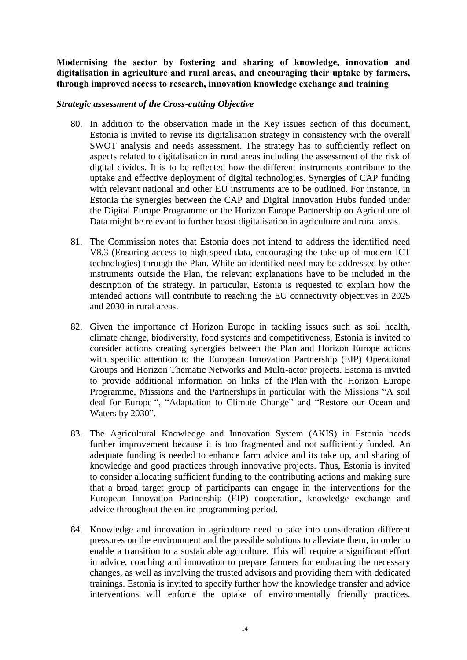**Modernising the sector by fostering and sharing of knowledge, innovation and digitalisation in agriculture and rural areas, and encouraging their uptake by farmers, through improved access to research, innovation knowledge exchange and training**

#### *Strategic assessment of the Cross-cutting Objective*

- 80. In addition to the observation made in the Key issues section of this document, Estonia is invited to revise its digitalisation strategy in consistency with the overall SWOT analysis and needs assessment. The strategy has to sufficiently reflect on aspects related to digitalisation in rural areas including the assessment of the risk of digital divides. It is to be reflected how the different instruments contribute to the uptake and effective deployment of digital technologies. Synergies of CAP funding with relevant national and other EU instruments are to be outlined. For instance, in Estonia the synergies between the CAP and Digital Innovation Hubs funded under the Digital Europe Programme or the Horizon Europe Partnership on Agriculture of Data might be relevant to further boost digitalisation in agriculture and rural areas.
- 81. The Commission notes that Estonia does not intend to address the identified need V8.3 (Ensuring access to high-speed data, encouraging the take-up of modern ICT technologies) through the Plan. While an identified need may be addressed by other instruments outside the Plan, the relevant explanations have to be included in the description of the strategy. In particular, Estonia is requested to explain how the intended actions will contribute to reaching the EU connectivity objectives in 2025 and 2030 in rural areas.
- 82. Given the importance of Horizon Europe in tackling issues such as soil health, climate change, biodiversity, food systems and competitiveness, Estonia is invited to consider actions creating synergies between the Plan and Horizon Europe actions with specific attention to the European Innovation Partnership (EIP) Operational Groups and Horizon Thematic Networks and Multi-actor projects. Estonia is invited to provide additional information on links of the Plan with the Horizon Europe Programme, Missions and the Partnerships in particular with the Missions "A soil deal for Europe ", "Adaptation to Climate Change" and "Restore our Ocean and Waters by 2030".
- 83. The Agricultural Knowledge and Innovation System (AKIS) in Estonia needs further improvement because it is too fragmented and not sufficiently funded. An adequate funding is needed to enhance farm advice and its take up, and sharing of knowledge and good practices through innovative projects. Thus, Estonia is invited to consider allocating sufficient funding to the contributing actions and making sure that a broad target group of participants can engage in the interventions for the European Innovation Partnership (EIP) cooperation, knowledge exchange and advice throughout the entire programming period.
- 84. Knowledge and innovation in agriculture need to take into consideration different pressures on the environment and the possible solutions to alleviate them, in order to enable a transition to a sustainable agriculture. This will require a significant effort in advice, coaching and innovation to prepare farmers for embracing the necessary changes, as well as involving the trusted advisors and providing them with dedicated trainings. Estonia is invited to specify further how the knowledge transfer and advice interventions will enforce the uptake of environmentally friendly practices.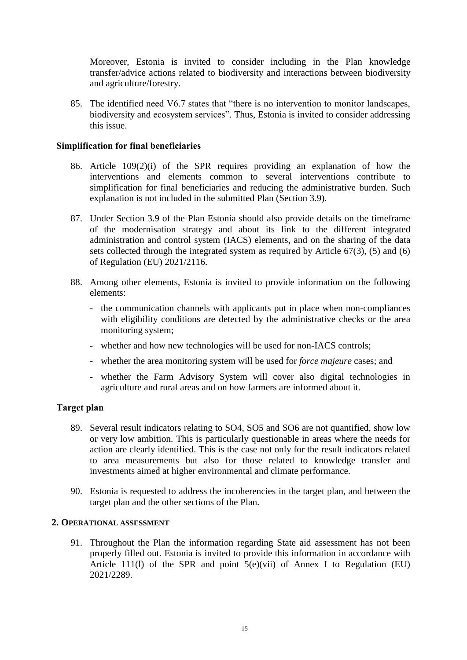Moreover, Estonia is invited to consider including in the Plan knowledge transfer/advice actions related to biodiversity and interactions between biodiversity and agriculture/forestry.

85. The identified need V6.7 states that "there is no intervention to monitor landscapes, biodiversity and ecosystem services". Thus, Estonia is invited to consider addressing this issue.

## **Simplification for final beneficiaries**

- 86. Article 109(2)(i) of the SPR requires providing an explanation of how the interventions and elements common to several interventions contribute to simplification for final beneficiaries and reducing the administrative burden. Such explanation is not included in the submitted Plan (Section 3.9).
- 87. Under Section 3.9 of the Plan Estonia should also provide details on the timeframe of the modernisation strategy and about its link to the different integrated administration and control system (IACS) elements, and on the sharing of the data sets collected through the integrated system as required by Article 67(3), (5) and (6) of Regulation (EU) 2021/2116.
- 88. Among other elements, Estonia is invited to provide information on the following elements:
	- the communication channels with applicants put in place when non-compliances with eligibility conditions are detected by the administrative checks or the area monitoring system;
	- whether and how new technologies will be used for non-IACS controls;
	- whether the area monitoring system will be used for *force majeure* cases; and
	- whether the Farm Advisory System will cover also digital technologies in agriculture and rural areas and on how farmers are informed about it.

## **Target plan**

- 89. Several result indicators relating to SO4, SO5 and SO6 are not quantified, show low or very low ambition. This is particularly questionable in areas where the needs for action are clearly identified. This is the case not only for the result indicators related to area measurements but also for those related to knowledge transfer and investments aimed at higher environmental and climate performance.
- 90. Estonia is requested to address the incoherencies in the target plan, and between the target plan and the other sections of the Plan.

#### **2. OPERATIONAL ASSESSMENT**

91. Throughout the Plan the information regarding State aid assessment has not been properly filled out. Estonia is invited to provide this information in accordance with Article 111(1) of the SPR and point  $5(e)(vi)$  of Annex I to Regulation (EU) 2021/2289.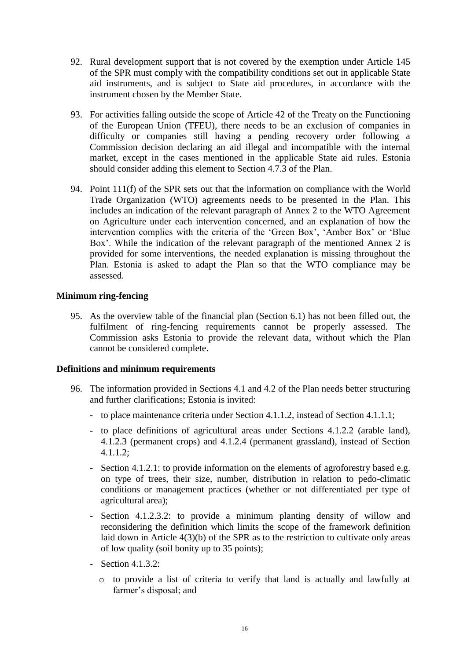- 92. Rural development support that is not covered by the exemption under Article 145 of the SPR must comply with the compatibility conditions set out in applicable State aid instruments, and is subject to State aid procedures, in accordance with the instrument chosen by the Member State.
- 93. For activities falling outside the scope of Article 42 of the Treaty on the Functioning of the European Union (TFEU), there needs to be an exclusion of companies in difficulty or companies still having a pending recovery order following a Commission decision declaring an aid illegal and incompatible with the internal market, except in the cases mentioned in the applicable State aid rules. Estonia should consider adding this element to Section 4.7.3 of the Plan.
- 94. Point 111(f) of the SPR sets out that the information on compliance with the World Trade Organization (WTO) agreements needs to be presented in the Plan. This includes an indication of the relevant paragraph of Annex 2 to the WTO Agreement on Agriculture under each intervention concerned, and an explanation of how the intervention complies with the criteria of the 'Green Box', 'Amber Box' or 'Blue Box'. While the indication of the relevant paragraph of the mentioned Annex 2 is provided for some interventions, the needed explanation is missing throughout the Plan. Estonia is asked to adapt the Plan so that the WTO compliance may be assessed.

## **Minimum ring-fencing**

95. As the overview table of the financial plan (Section 6.1) has not been filled out, the fulfilment of ring-fencing requirements cannot be properly assessed. The Commission asks Estonia to provide the relevant data, without which the Plan cannot be considered complete.

## **Definitions and minimum requirements**

- 96. The information provided in Sections 4.1 and 4.2 of the Plan needs better structuring and further clarifications; Estonia is invited:
	- to place maintenance criteria under Section 4.1.1.2, instead of Section 4.1.1.1;
	- to place definitions of agricultural areas under Sections 4.1.2.2 (arable land), 4.1.2.3 (permanent crops) and 4.1.2.4 (permanent grassland), instead of Section 4.1.1.2;
	- Section 4.1.2.1: to provide information on the elements of agroforestry based e.g. on type of trees, their size, number, distribution in relation to pedo-climatic conditions or management practices (whether or not differentiated per type of agricultural area);
	- Section 4.1.2.3.2: to provide a minimum planting density of willow and reconsidering the definition which limits the scope of the framework definition laid down in Article 4(3)(b) of the SPR as to the restriction to cultivate only areas of low quality (soil bonity up to 35 points);
	- Section 4.1.3.2:
		- o to provide a list of criteria to verify that land is actually and lawfully at farmer's disposal; and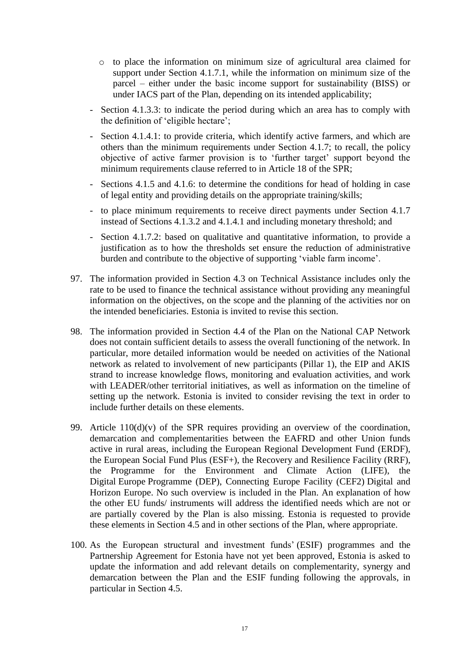- o to place the information on minimum size of agricultural area claimed for support under Section 4.1.7.1, while the information on minimum size of the parcel – either under the basic income support for sustainability (BISS) or under IACS part of the Plan, depending on its intended applicability;
- Section 4.1.3.3: to indicate the period during which an area has to comply with the definition of 'eligible hectare';
- Section 4.1.4.1: to provide criteria, which identify active farmers, and which are others than the minimum requirements under Section 4.1.7; to recall, the policy objective of active farmer provision is to 'further target' support beyond the minimum requirements clause referred to in Article 18 of the SPR;
- Sections 4.1.5 and 4.1.6: to determine the conditions for head of holding in case of legal entity and providing details on the appropriate training/skills;
- to place minimum requirements to receive direct payments under Section 4.1.7 instead of Sections 4.1.3.2 and 4.1.4.1 and including monetary threshold; and
- Section 4.1.7.2: based on qualitative and quantitative information, to provide a justification as to how the thresholds set ensure the reduction of administrative burden and contribute to the objective of supporting 'viable farm income'.
- 97. The information provided in Section 4.3 on Technical Assistance includes only the rate to be used to finance the technical assistance without providing any meaningful information on the objectives, on the scope and the planning of the activities nor on the intended beneficiaries. Estonia is invited to revise this section.
- 98. The information provided in Section 4.4 of the Plan on the National CAP Network does not contain sufficient details to assess the overall functioning of the network. In particular, more detailed information would be needed on activities of the National network as related to involvement of new participants (Pillar 1), the EIP and AKIS strand to increase knowledge flows, monitoring and evaluation activities, and work with LEADER/other territorial initiatives, as well as information on the timeline of setting up the network. Estonia is invited to consider revising the text in order to include further details on these elements.
- 99. Article  $110(d)(v)$  of the SPR requires providing an overview of the coordination, demarcation and complementarities between the EAFRD and other Union funds active in rural areas, including the European Regional Development Fund (ERDF), the European Social Fund Plus (ESF+), the Recovery and Resilience Facility (RRF), the Programme for the Environment and Climate Action (LIFE), the Digital Europe Programme (DEP), Connecting Europe Facility (CEF2) Digital and Horizon Europe. No such overview is included in the Plan. An explanation of how the other EU funds/ instruments will address the identified needs which are not or are partially covered by the Plan is also missing. Estonia is requested to provide these elements in Section 4.5 and in other sections of the Plan, where appropriate.
- 100. As the European structural and investment funds' (ESIF) programmes and the Partnership Agreement for Estonia have not yet been approved, Estonia is asked to update the information and add relevant details on complementarity, synergy and demarcation between the Plan and the ESIF funding following the approvals, in particular in Section 4.5.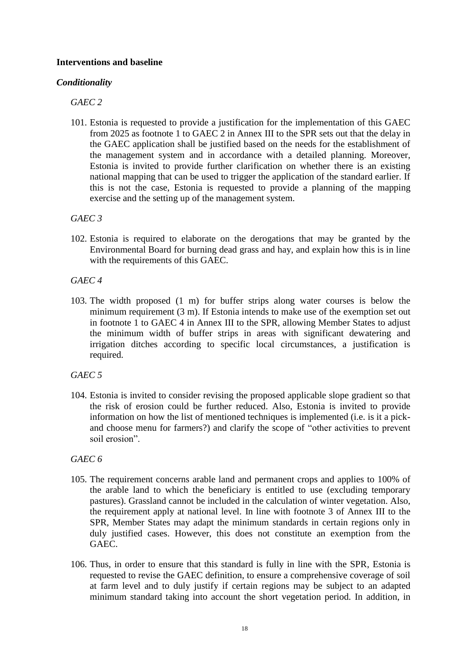## **Interventions and baseline**

## *Conditionality*

# *GAEC 2*

101. Estonia is requested to provide a justification for the implementation of this GAEC from 2025 as footnote 1 to GAEC 2 in Annex III to the SPR sets out that the delay in the GAEC application shall be justified based on the needs for the establishment of the management system and in accordance with a detailed planning. Moreover, Estonia is invited to provide further clarification on whether there is an existing national mapping that can be used to trigger the application of the standard earlier. If this is not the case, Estonia is requested to provide a planning of the mapping exercise and the setting up of the management system.

*GAEC 3*

102. Estonia is required to elaborate on the derogations that may be granted by the Environmental Board for burning dead grass and hay, and explain how this is in line with the requirements of this GAEC.

*GAEC 4*

103. The width proposed (1 m) for buffer strips along water courses is below the minimum requirement (3 m). If Estonia intends to make use of the exemption set out in footnote 1 to GAEC 4 in Annex III to the SPR, allowing Member States to adjust the minimum width of buffer strips in areas with significant dewatering and irrigation ditches according to specific local circumstances, a justification is required.

# *GAEC 5*

104. Estonia is invited to consider revising the proposed applicable slope gradient so that the risk of erosion could be further reduced. Also, Estonia is invited to provide information on how the list of mentioned techniques is implemented (i.e. is it a pickand choose menu for farmers?) and clarify the scope of "other activities to prevent soil erosion".

# *GAEC 6*

- 105. The requirement concerns arable land and permanent crops and applies to 100% of the arable land to which the beneficiary is entitled to use (excluding temporary pastures). Grassland cannot be included in the calculation of winter vegetation. Also, the requirement apply at national level. In line with footnote 3 of Annex III to the SPR, Member States may adapt the minimum standards in certain regions only in duly justified cases. However, this does not constitute an exemption from the GAEC.
- 106. Thus, in order to ensure that this standard is fully in line with the SPR, Estonia is requested to revise the GAEC definition, to ensure a comprehensive coverage of soil at farm level and to duly justify if certain regions may be subject to an adapted minimum standard taking into account the short vegetation period. In addition, in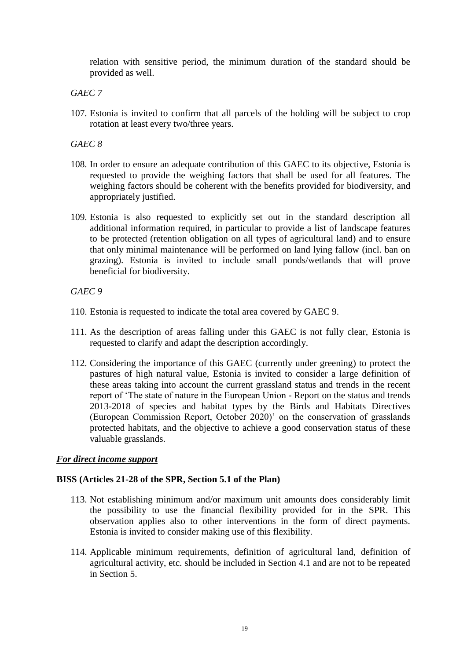relation with sensitive period, the minimum duration of the standard should be provided as well.

## *GAEC 7*

107. Estonia is invited to confirm that all parcels of the holding will be subject to crop rotation at least every two/three years.

## *GAEC 8*

- 108. In order to ensure an adequate contribution of this GAEC to its objective, Estonia is requested to provide the weighing factors that shall be used for all features. The weighing factors should be coherent with the benefits provided for biodiversity, and appropriately justified.
- 109. Estonia is also requested to explicitly set out in the standard description all additional information required, in particular to provide a list of landscape features to be protected (retention obligation on all types of agricultural land) and to ensure that only minimal maintenance will be performed on land lying fallow (incl. ban on grazing). Estonia is invited to include small ponds/wetlands that will prove beneficial for biodiversity.

## *GAEC 9*

- 110. Estonia is requested to indicate the total area covered by GAEC 9.
- 111. As the description of areas falling under this GAEC is not fully clear, Estonia is requested to clarify and adapt the description accordingly.
- 112. Considering the importance of this GAEC (currently under greening) to protect the pastures of high natural value, Estonia is invited to consider a large definition of these areas taking into account the current grassland status and trends in the recent report of 'The state of nature in the European Union - Report on the status and trends 2013-2018 of species and habitat types by the Birds and Habitats Directives (European Commission Report, October 2020)' on the conservation of grasslands protected habitats, and the objective to achieve a good conservation status of these valuable grasslands.

## *For direct income support*

## **BISS (Articles 21-28 of the SPR, Section 5.1 of the Plan)**

- 113. Not establishing minimum and/or maximum unit amounts does considerably limit the possibility to use the financial flexibility provided for in the SPR. This observation applies also to other interventions in the form of direct payments. Estonia is invited to consider making use of this flexibility.
- 114. Applicable minimum requirements, definition of agricultural land, definition of agricultural activity, etc. should be included in Section 4.1 and are not to be repeated in Section 5.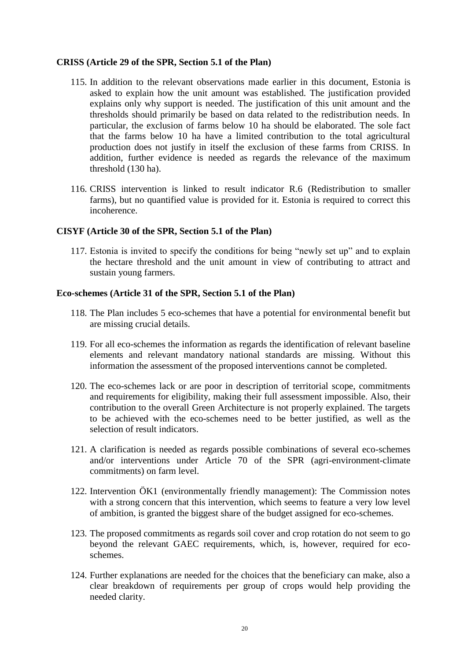## **CRISS (Article 29 of the SPR, Section 5.1 of the Plan)**

- 115. In addition to the relevant observations made earlier in this document, Estonia is asked to explain how the unit amount was established. The justification provided explains only why support is needed. The justification of this unit amount and the thresholds should primarily be based on data related to the redistribution needs. In particular, the exclusion of farms below 10 ha should be elaborated. The sole fact that the farms below 10 ha have a limited contribution to the total agricultural production does not justify in itself the exclusion of these farms from CRISS. In addition, further evidence is needed as regards the relevance of the maximum threshold (130 ha).
- 116. CRISS intervention is linked to result indicator R.6 (Redistribution to smaller farms), but no quantified value is provided for it. Estonia is required to correct this incoherence.

#### **CISYF (Article 30 of the SPR, Section 5.1 of the Plan)**

117. Estonia is invited to specify the conditions for being "newly set up" and to explain the hectare threshold and the unit amount in view of contributing to attract and sustain young farmers.

#### **Eco-schemes (Article 31 of the SPR, Section 5.1 of the Plan)**

- 118. The Plan includes 5 eco-schemes that have a potential for environmental benefit but are missing crucial details.
- 119. For all eco-schemes the information as regards the identification of relevant baseline elements and relevant mandatory national standards are missing. Without this information the assessment of the proposed interventions cannot be completed.
- 120. The eco-schemes lack or are poor in description of territorial scope, commitments and requirements for eligibility, making their full assessment impossible. Also, their contribution to the overall Green Architecture is not properly explained. The targets to be achieved with the eco-schemes need to be better justified, as well as the selection of result indicators.
- 121. A clarification is needed as regards possible combinations of several eco-schemes and/or interventions under Article 70 of the SPR (agri-environment-climate commitments) on farm level.
- 122. Intervention ÖK1 (environmentally friendly management): The Commission notes with a strong concern that this intervention, which seems to feature a very low level of ambition, is granted the biggest share of the budget assigned for eco-schemes.
- 123. The proposed commitments as regards soil cover and crop rotation do not seem to go beyond the relevant GAEC requirements, which, is, however, required for ecoschemes.
- 124. Further explanations are needed for the choices that the beneficiary can make, also a clear breakdown of requirements per group of crops would help providing the needed clarity.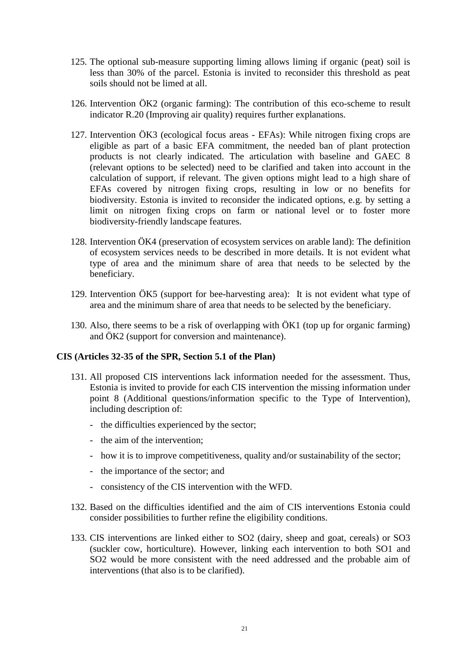- 125. The optional sub-measure supporting liming allows liming if organic (peat) soil is less than 30% of the parcel. Estonia is invited to reconsider this threshold as peat soils should not be limed at all.
- 126. Intervention ÖK2 (organic farming): The contribution of this eco-scheme to result indicator R.20 (Improving air quality) requires further explanations.
- 127. Intervention ÖK3 (ecological focus areas EFAs): While nitrogen fixing crops are eligible as part of a basic EFA commitment, the needed ban of plant protection products is not clearly indicated. The articulation with baseline and GAEC 8 (relevant options to be selected) need to be clarified and taken into account in the calculation of support, if relevant. The given options might lead to a high share of EFAs covered by nitrogen fixing crops, resulting in low or no benefits for biodiversity. Estonia is invited to reconsider the indicated options, e.g. by setting a limit on nitrogen fixing crops on farm or national level or to foster more biodiversity-friendly landscape features.
- 128. Intervention ÖK4 (preservation of ecosystem services on arable land): The definition of ecosystem services needs to be described in more details. It is not evident what type of area and the minimum share of area that needs to be selected by the beneficiary.
- 129. Intervention ÖK5 (support for bee-harvesting area): It is not evident what type of area and the minimum share of area that needs to be selected by the beneficiary.
- 130. Also, there seems to be a risk of overlapping with ÖK1 (top up for organic farming) and ÖK2 (support for conversion and maintenance).

## **CIS (Articles 32-35 of the SPR, Section 5.1 of the Plan)**

- 131. All proposed CIS interventions lack information needed for the assessment. Thus, Estonia is invited to provide for each CIS intervention the missing information under point 8 (Additional questions/information specific to the Type of Intervention), including description of:
	- the difficulties experienced by the sector;
	- the aim of the intervention;
	- how it is to improve competitiveness, quality and/or sustainability of the sector;
	- the importance of the sector; and
	- consistency of the CIS intervention with the WFD.
- 132. Based on the difficulties identified and the aim of CIS interventions Estonia could consider possibilities to further refine the eligibility conditions.
- 133. CIS interventions are linked either to SO2 (dairy, sheep and goat, cereals) or SO3 (suckler cow, horticulture). However, linking each intervention to both SO1 and SO2 would be more consistent with the need addressed and the probable aim of interventions (that also is to be clarified).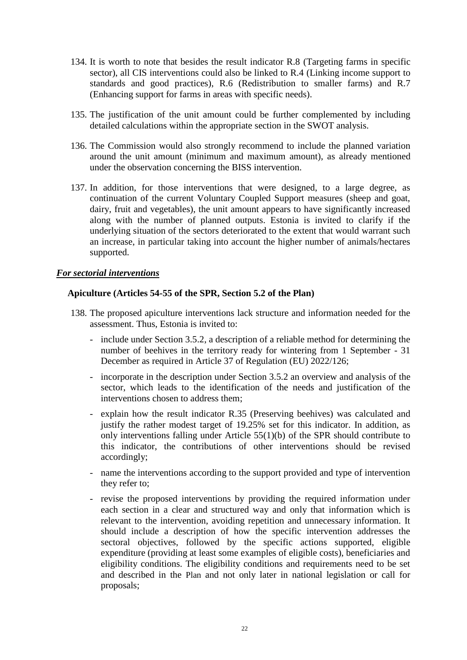- 134. It is worth to note that besides the result indicator R.8 (Targeting farms in specific sector), all CIS interventions could also be linked to R.4 (Linking income support to standards and good practices), R.6 (Redistribution to smaller farms) and R.7 (Enhancing support for farms in areas with specific needs).
- 135. The justification of the unit amount could be further complemented by including detailed calculations within the appropriate section in the SWOT analysis.
- 136. The Commission would also strongly recommend to include the planned variation around the unit amount (minimum and maximum amount), as already mentioned under the observation concerning the BISS intervention.
- 137. In addition, for those interventions that were designed, to a large degree, as continuation of the current Voluntary Coupled Support measures (sheep and goat, dairy, fruit and vegetables), the unit amount appears to have significantly increased along with the number of planned outputs. Estonia is invited to clarify if the underlying situation of the sectors deteriorated to the extent that would warrant such an increase, in particular taking into account the higher number of animals/hectares supported.

#### *For sectorial interventions*

## **Apiculture (Articles 54-55 of the SPR, Section 5.2 of the Plan)**

- 138. The proposed apiculture interventions lack structure and information needed for the assessment. Thus, Estonia is invited to:
	- include under Section 3.5.2, a description of a reliable method for determining the number of beehives in the territory ready for wintering from 1 September - 31 December as required in Article 37 of Regulation (EU) 2022/126;
	- incorporate in the description under Section 3.5.2 an overview and analysis of the sector, which leads to the identification of the needs and justification of the interventions chosen to address them;
	- explain how the result indicator R.35 (Preserving beehives) was calculated and justify the rather modest target of 19.25% set for this indicator. In addition, as only interventions falling under Article 55(1)(b) of the SPR should contribute to this indicator, the contributions of other interventions should be revised accordingly;
	- name the interventions according to the support provided and type of intervention they refer to;
	- revise the proposed interventions by providing the required information under each section in a clear and structured way and only that information which is relevant to the intervention, avoiding repetition and unnecessary information. It should include a description of how the specific intervention addresses the sectoral objectives, followed by the specific actions supported, eligible expenditure (providing at least some examples of eligible costs), beneficiaries and eligibility conditions. The eligibility conditions and requirements need to be set and described in the Plan and not only later in national legislation or call for proposals;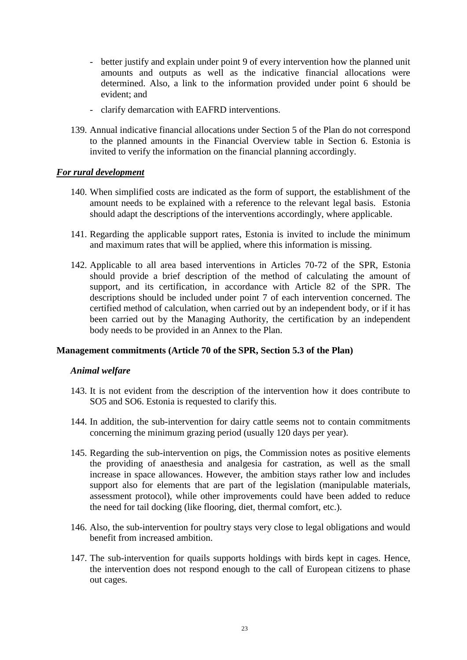- better justify and explain under point 9 of every intervention how the planned unit amounts and outputs as well as the indicative financial allocations were determined. Also, a link to the information provided under point 6 should be evident; and
- clarify demarcation with EAFRD interventions.
- 139. Annual indicative financial allocations under Section 5 of the Plan do not correspond to the planned amounts in the Financial Overview table in Section 6. Estonia is invited to verify the information on the financial planning accordingly.

## *For rural development*

- 140. When simplified costs are indicated as the form of support, the establishment of the amount needs to be explained with a reference to the relevant legal basis. Estonia should adapt the descriptions of the interventions accordingly, where applicable.
- 141. Regarding the applicable support rates, Estonia is invited to include the minimum and maximum rates that will be applied, where this information is missing.
- 142. Applicable to all area based interventions in Articles 70-72 of the SPR, Estonia should provide a brief description of the method of calculating the amount of support, and its certification, in accordance with Article 82 of the SPR. The descriptions should be included under point 7 of each intervention concerned. The certified method of calculation, when carried out by an independent body, or if it has been carried out by the Managing Authority, the certification by an independent body needs to be provided in an Annex to the Plan.

## **Management commitments (Article 70 of the SPR, Section 5.3 of the Plan)**

## *Animal welfare*

- 143. It is not evident from the description of the intervention how it does contribute to SO5 and SO6. Estonia is requested to clarify this.
- 144. In addition, the sub-intervention for dairy cattle seems not to contain commitments concerning the minimum grazing period (usually 120 days per year).
- 145. Regarding the sub-intervention on pigs, the Commission notes as positive elements the providing of anaesthesia and analgesia for castration, as well as the small increase in space allowances. However, the ambition stays rather low and includes support also for elements that are part of the legislation (manipulable materials, assessment protocol), while other improvements could have been added to reduce the need for tail docking (like flooring, diet, thermal comfort, etc.).
- 146. Also, the sub-intervention for poultry stays very close to legal obligations and would benefit from increased ambition.
- 147. The sub-intervention for quails supports holdings with birds kept in cages. Hence, the intervention does not respond enough to the call of European citizens to phase out cages.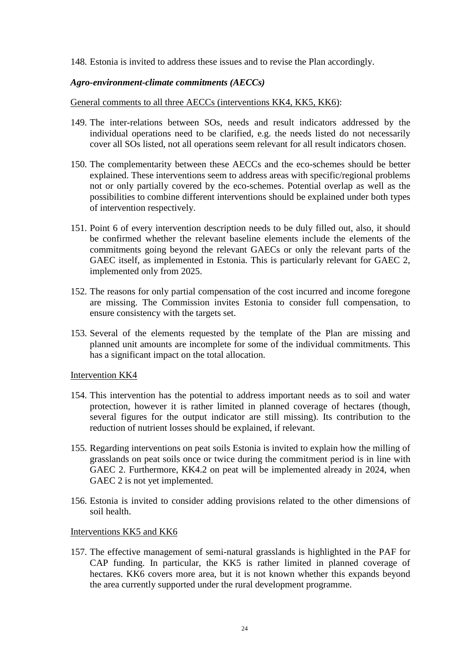#### 148. Estonia is invited to address these issues and to revise the Plan accordingly.

#### *Agro-environment-climate commitments (AECCs)*

#### General comments to all three AECCs (interventions KK4, KK5, KK6):

- 149. The inter-relations between SOs, needs and result indicators addressed by the individual operations need to be clarified, e.g. the needs listed do not necessarily cover all SOs listed, not all operations seem relevant for all result indicators chosen.
- 150. The complementarity between these AECCs and the eco-schemes should be better explained. These interventions seem to address areas with specific/regional problems not or only partially covered by the eco-schemes. Potential overlap as well as the possibilities to combine different interventions should be explained under both types of intervention respectively.
- 151. Point 6 of every intervention description needs to be duly filled out, also, it should be confirmed whether the relevant baseline elements include the elements of the commitments going beyond the relevant GAECs or only the relevant parts of the GAEC itself, as implemented in Estonia. This is particularly relevant for GAEC 2, implemented only from 2025.
- 152. The reasons for only partial compensation of the cost incurred and income foregone are missing. The Commission invites Estonia to consider full compensation, to ensure consistency with the targets set.
- 153. Several of the elements requested by the template of the Plan are missing and planned unit amounts are incomplete for some of the individual commitments. This has a significant impact on the total allocation.

#### Intervention KK4

- 154. This intervention has the potential to address important needs as to soil and water protection, however it is rather limited in planned coverage of hectares (though, several figures for the output indicator are still missing). Its contribution to the reduction of nutrient losses should be explained, if relevant.
- 155. Regarding interventions on peat soils Estonia is invited to explain how the milling of grasslands on peat soils once or twice during the commitment period is in line with GAEC 2. Furthermore, KK4.2 on peat will be implemented already in 2024, when GAEC 2 is not yet implemented.
- 156. Estonia is invited to consider adding provisions related to the other dimensions of soil health.

#### Interventions KK5 and KK6

157. The effective management of semi-natural grasslands is highlighted in the PAF for CAP funding. In particular, the KK5 is rather limited in planned coverage of hectares. KK6 covers more area, but it is not known whether this expands beyond the area currently supported under the rural development programme.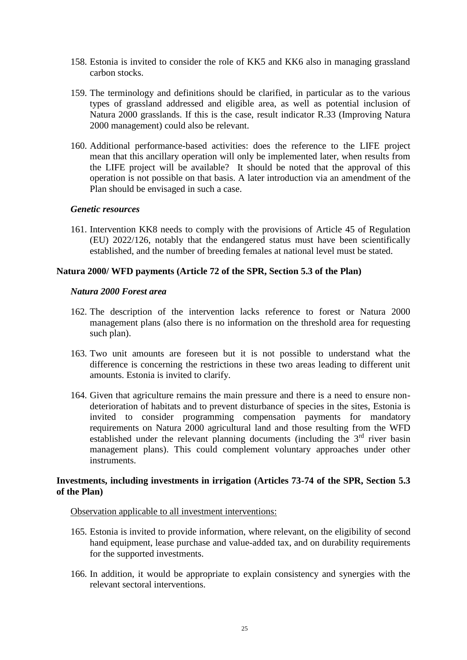- 158. Estonia is invited to consider the role of KK5 and KK6 also in managing grassland carbon stocks.
- 159. The terminology and definitions should be clarified, in particular as to the various types of grassland addressed and eligible area, as well as potential inclusion of Natura 2000 grasslands. If this is the case, result indicator R.33 (Improving Natura 2000 management) could also be relevant.
- 160. Additional performance-based activities: does the reference to the LIFE project mean that this ancillary operation will only be implemented later, when results from the LIFE project will be available? It should be noted that the approval of this operation is not possible on that basis. A later introduction via an amendment of the Plan should be envisaged in such a case.

#### *Genetic resources*

161. Intervention KK8 needs to comply with the provisions of Article 45 of Regulation (EU) 2022/126, notably that the endangered status must have been scientifically established, and the number of breeding females at national level must be stated.

## **Natura 2000/ WFD payments (Article 72 of the SPR, Section 5.3 of the Plan)**

#### *Natura 2000 Forest area*

- 162. The description of the intervention lacks reference to forest or Natura 2000 management plans (also there is no information on the threshold area for requesting such plan).
- 163. Two unit amounts are foreseen but it is not possible to understand what the difference is concerning the restrictions in these two areas leading to different unit amounts. Estonia is invited to clarify.
- 164. Given that agriculture remains the main pressure and there is a need to ensure nondeterioration of habitats and to prevent disturbance of species in the sites, Estonia is invited to consider programming compensation payments for mandatory requirements on Natura 2000 agricultural land and those resulting from the WFD established under the relevant planning documents (including the  $3<sup>rd</sup>$  river basin management plans). This could complement voluntary approaches under other instruments.

## **Investments, including investments in irrigation (Articles 73-74 of the SPR, Section 5.3 of the Plan)**

#### Observation applicable to all investment interventions:

- 165. Estonia is invited to provide information, where relevant, on the eligibility of second hand equipment, lease purchase and value-added tax, and on durability requirements for the supported investments.
- 166. In addition, it would be appropriate to explain consistency and synergies with the relevant sectoral interventions.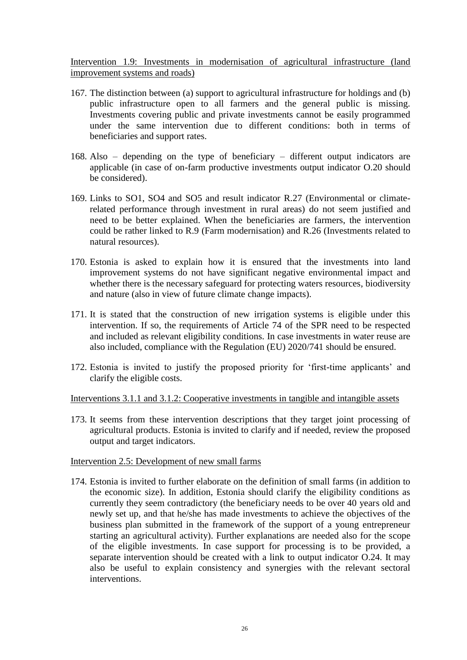Intervention 1.9: Investments in modernisation of agricultural infrastructure (land improvement systems and roads)

- 167. The distinction between (a) support to agricultural infrastructure for holdings and (b) public infrastructure open to all farmers and the general public is missing. Investments covering public and private investments cannot be easily programmed under the same intervention due to different conditions: both in terms of beneficiaries and support rates.
- 168. Also depending on the type of beneficiary different output indicators are applicable (in case of on-farm productive investments output indicator O.20 should be considered).
- 169. Links to SO1, SO4 and SO5 and result indicator R.27 (Environmental or climaterelated performance through investment in rural areas) do not seem justified and need to be better explained. When the beneficiaries are farmers, the intervention could be rather linked to R.9 (Farm modernisation) and R.26 (Investments related to natural resources).
- 170. Estonia is asked to explain how it is ensured that the investments into land improvement systems do not have significant negative environmental impact and whether there is the necessary safeguard for protecting waters resources, biodiversity and nature (also in view of future climate change impacts).
- 171. It is stated that the construction of new irrigation systems is eligible under this intervention. If so, the requirements of Article 74 of the SPR need to be respected and included as relevant eligibility conditions. In case investments in water reuse are also included, compliance with the Regulation (EU) 2020/741 should be ensured.
- 172. Estonia is invited to justify the proposed priority for 'first-time applicants' and clarify the eligible costs.

## Interventions 3.1.1 and 3.1.2: Cooperative investments in tangible and intangible assets

173. It seems from these intervention descriptions that they target joint processing of agricultural products. Estonia is invited to clarify and if needed, review the proposed output and target indicators.

## Intervention 2.5: Development of new small farms

174. Estonia is invited to further elaborate on the definition of small farms (in addition to the economic size). In addition, Estonia should clarify the eligibility conditions as currently they seem contradictory (the beneficiary needs to be over 40 years old and newly set up, and that he/she has made investments to achieve the objectives of the business plan submitted in the framework of the support of a young entrepreneur starting an agricultural activity). Further explanations are needed also for the scope of the eligible investments. In case support for processing is to be provided, a separate intervention should be created with a link to output indicator O.24. It may also be useful to explain consistency and synergies with the relevant sectoral interventions.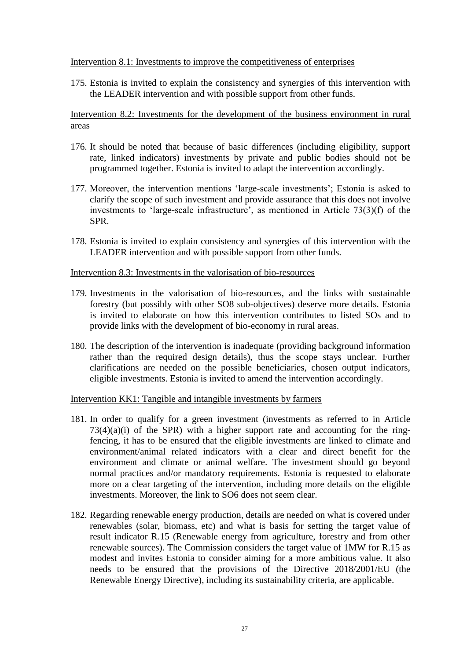## Intervention 8.1: Investments to improve the competitiveness of enterprises

175. Estonia is invited to explain the consistency and synergies of this intervention with the LEADER intervention and with possible support from other funds.

Intervention 8.2: Investments for the development of the business environment in rural areas

- 176. It should be noted that because of basic differences (including eligibility, support rate, linked indicators) investments by private and public bodies should not be programmed together. Estonia is invited to adapt the intervention accordingly.
- 177. Moreover, the intervention mentions 'large-scale investments'; Estonia is asked to clarify the scope of such investment and provide assurance that this does not involve investments to 'large-scale infrastructure', as mentioned in Article 73(3)(f) of the SPR.
- 178. Estonia is invited to explain consistency and synergies of this intervention with the LEADER intervention and with possible support from other funds.

#### Intervention 8.3: Investments in the valorisation of bio-resources

- 179. Investments in the valorisation of bio-resources, and the links with sustainable forestry (but possibly with other SO8 sub-objectives) deserve more details. Estonia is invited to elaborate on how this intervention contributes to listed SOs and to provide links with the development of bio-economy in rural areas.
- 180. The description of the intervention is inadequate (providing background information rather than the required design details), thus the scope stays unclear. Further clarifications are needed on the possible beneficiaries, chosen output indicators, eligible investments. Estonia is invited to amend the intervention accordingly.

## Intervention KK1: Tangible and intangible investments by farmers

- 181. In order to qualify for a green investment (investments as referred to in Article  $73(4)(a)(i)$  of the SPR) with a higher support rate and accounting for the ringfencing, it has to be ensured that the eligible investments are linked to climate and environment/animal related indicators with a clear and direct benefit for the environment and climate or animal welfare. The investment should go beyond normal practices and/or mandatory requirements. Estonia is requested to elaborate more on a clear targeting of the intervention, including more details on the eligible investments. Moreover, the link to SO6 does not seem clear.
- 182. Regarding renewable energy production, details are needed on what is covered under renewables (solar, biomass, etc) and what is basis for setting the target value of result indicator R.15 (Renewable energy from agriculture, forestry and from other renewable sources). The Commission considers the target value of 1MW for R.15 as modest and invites Estonia to consider aiming for a more ambitious value. It also needs to be ensured that the provisions of the Directive 2018/2001/EU (the Renewable Energy Directive), including its sustainability criteria, are applicable.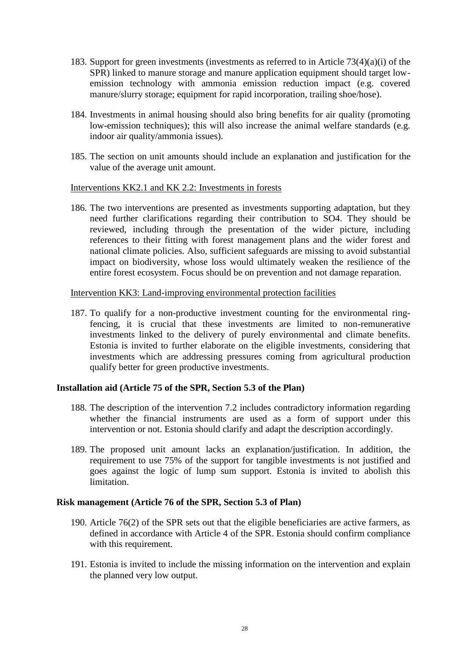- 183. Support for green investments (investments as referred to in Article 73(4)(a)(i) of the SPR) linked to manure storage and manure application equipment should target lowemission technology with ammonia emission reduction impact (e.g. covered manure/slurry storage; equipment for rapid incorporation, trailing shoe/hose).
- 184. Investments in animal housing should also bring benefits for air quality (promoting low-emission techniques); this will also increase the animal welfare standards (e.g. indoor air quality/ammonia issues).
- 185. The section on unit amounts should include an explanation and justification for the value of the average unit amount.

#### Interventions KK2.1 and KK 2.2: Investments in forests

186. The two interventions are presented as investments supporting adaptation, but they need further clarifications regarding their contribution to SO4. They should be reviewed, including through the presentation of the wider picture, including references to their fitting with forest management plans and the wider forest and national climate policies. Also, sufficient safeguards are missing to avoid substantial impact on biodiversity, whose loss would ultimately weaken the resilience of the entire forest ecosystem. Focus should be on prevention and not damage reparation.

#### Intervention KK3: Land-improving environmental protection facilities

187. To qualify for a non-productive investment counting for the environmental ringfencing, it is crucial that these investments are limited to non-remunerative investments linked to the delivery of purely environmental and climate benefits. Estonia is invited to further elaborate on the eligible investments, considering that investments which are addressing pressures coming from agricultural production qualify better for green productive investments.

## **Installation aid (Article 75 of the SPR, Section 5.3 of the Plan)**

- 188. The description of the intervention 7.2 includes contradictory information regarding whether the financial instruments are used as a form of support under this intervention or not. Estonia should clarify and adapt the description accordingly.
- 189. The proposed unit amount lacks an explanation/justification. In addition, the requirement to use 75% of the support for tangible investments is not justified and goes against the logic of lump sum support. Estonia is invited to abolish this limitation.

#### **Risk management (Article 76 of the SPR, Section 5.3 of Plan)**

- 190. Article 76(2) of the SPR sets out that the eligible beneficiaries are active farmers, as defined in accordance with Article 4 of the SPR. Estonia should confirm compliance with this requirement.
- 191. Estonia is invited to include the missing information on the intervention and explain the planned very low output.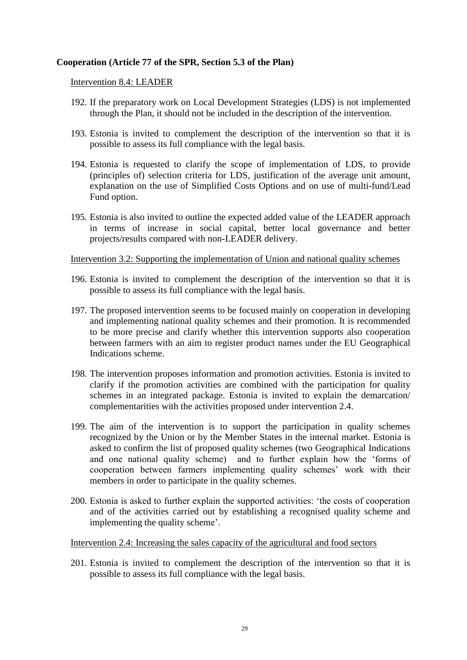## **Cooperation (Article 77 of the SPR, Section 5.3 of the Plan)**

#### Intervention 8.4: LEADER

- 192. If the preparatory work on Local Development Strategies (LDS) is not implemented through the Plan, it should not be included in the description of the intervention.
- 193. Estonia is invited to complement the description of the intervention so that it is possible to assess its full compliance with the legal basis.
- 194. Estonia is requested to clarify the scope of implementation of LDS, to provide (principles of) selection criteria for LDS, justification of the average unit amount, explanation on the use of Simplified Costs Options and on use of multi-fund/Lead Fund option.
- 195. Estonia is also invited to outline the expected added value of the LEADER approach in terms of increase in social capital, better local governance and better projects/results compared with non-LEADER delivery.

## Intervention 3.2: Supporting the implementation of Union and national quality schemes

- 196. Estonia is invited to complement the description of the intervention so that it is possible to assess its full compliance with the legal basis.
- 197. The proposed intervention seems to be focused mainly on cooperation in developing and implementing national quality schemes and their promotion. It is recommended to be more precise and clarify whether this intervention supports also cooperation between farmers with an aim to register product names under the EU Geographical Indications scheme.
- 198. The intervention proposes information and promotion activities. Estonia is invited to clarify if the promotion activities are combined with the participation for quality schemes in an integrated package. Estonia is invited to explain the demarcation/ complementarities with the activities proposed under intervention 2.4.
- 199. The aim of the intervention is to support the participation in quality schemes recognized by the Union or by the Member States in the internal market. Estonia is asked to confirm the list of proposed quality schemes (two Geographical Indications and one national quality scheme) and to further explain how the 'forms of cooperation between farmers implementing quality schemes' work with their members in order to participate in the quality schemes.
- 200. Estonia is asked to further explain the supported activities: 'the costs of cooperation and of the activities carried out by establishing a recognised quality scheme and implementing the quality scheme'.

#### Intervention 2.4: Increasing the sales capacity of the agricultural and food sectors

201. Estonia is invited to complement the description of the intervention so that it is possible to assess its full compliance with the legal basis.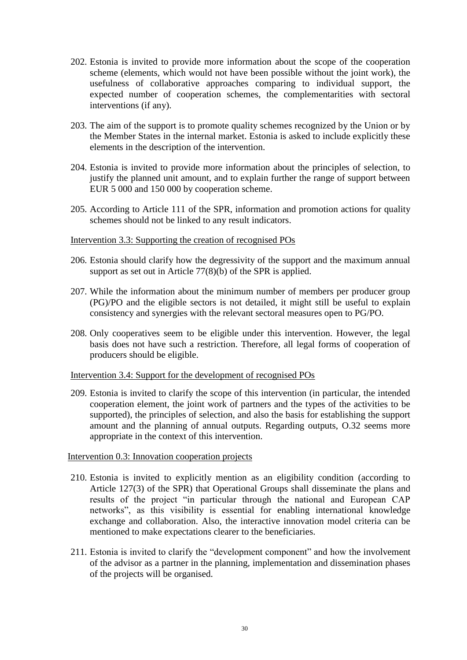- 202. Estonia is invited to provide more information about the scope of the cooperation scheme (elements, which would not have been possible without the joint work), the usefulness of collaborative approaches comparing to individual support, the expected number of cooperation schemes, the complementarities with sectoral interventions (if any).
- 203. The aim of the support is to promote quality schemes recognized by the Union or by the Member States in the internal market. Estonia is asked to include explicitly these elements in the description of the intervention.
- 204. Estonia is invited to provide more information about the principles of selection, to justify the planned unit amount, and to explain further the range of support between EUR 5 000 and 150 000 by cooperation scheme.
- 205. According to Article 111 of the SPR, information and promotion actions for quality schemes should not be linked to any result indicators.

#### Intervention 3.3: Supporting the creation of recognised POs

- 206. Estonia should clarify how the degressivity of the support and the maximum annual support as set out in Article 77(8)(b) of the SPR is applied.
- 207. While the information about the minimum number of members per producer group (PG)/PO and the eligible sectors is not detailed, it might still be useful to explain consistency and synergies with the relevant sectoral measures open to PG/PO.
- 208. Only cooperatives seem to be eligible under this intervention. However, the legal basis does not have such a restriction. Therefore, all legal forms of cooperation of producers should be eligible.

#### Intervention 3.4: Support for the development of recognised POs

209. Estonia is invited to clarify the scope of this intervention (in particular, the intended cooperation element, the joint work of partners and the types of the activities to be supported), the principles of selection, and also the basis for establishing the support amount and the planning of annual outputs. Regarding outputs, O.32 seems more appropriate in the context of this intervention.

#### Intervention 0.3: Innovation cooperation projects

- 210. Estonia is invited to explicitly mention as an eligibility condition (according to Article 127(3) of the SPR) that Operational Groups shall disseminate the plans and results of the project "in particular through the national and European CAP networks", as this visibility is essential for enabling international knowledge exchange and collaboration. Also, the interactive innovation model criteria can be mentioned to make expectations clearer to the beneficiaries.
- 211. Estonia is invited to clarify the "development component" and how the involvement of the advisor as a partner in the planning, implementation and dissemination phases of the projects will be organised.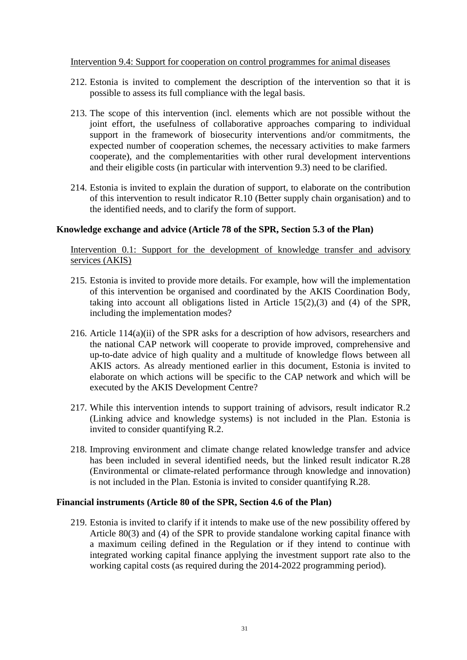## Intervention 9.4: Support for cooperation on control programmes for animal diseases

- 212. Estonia is invited to complement the description of the intervention so that it is possible to assess its full compliance with the legal basis.
- 213. The scope of this intervention (incl. elements which are not possible without the joint effort, the usefulness of collaborative approaches comparing to individual support in the framework of biosecurity interventions and/or commitments, the expected number of cooperation schemes, the necessary activities to make farmers cooperate), and the complementarities with other rural development interventions and their eligible costs (in particular with intervention 9.3) need to be clarified.
- 214. Estonia is invited to explain the duration of support, to elaborate on the contribution of this intervention to result indicator R.10 (Better supply chain organisation) and to the identified needs, and to clarify the form of support.

## **Knowledge exchange and advice (Article 78 of the SPR, Section 5.3 of the Plan)**

Intervention 0.1: Support for the development of knowledge transfer and advisory services (AKIS)

- 215. Estonia is invited to provide more details. For example, how will the implementation of this intervention be organised and coordinated by the AKIS Coordination Body, taking into account all obligations listed in Article 15(2),(3) and (4) of the SPR, including the implementation modes?
- 216. Article 114(a)(ii) of the SPR asks for a description of how advisors, researchers and the national CAP network will cooperate to provide improved, comprehensive and up-to-date advice of high quality and a multitude of knowledge flows between all AKIS actors. As already mentioned earlier in this document, Estonia is invited to elaborate on which actions will be specific to the CAP network and which will be executed by the AKIS Development Centre?
- 217. While this intervention intends to support training of advisors, result indicator R.2 (Linking advice and knowledge systems) is not included in the Plan. Estonia is invited to consider quantifying R.2.
- 218. Improving environment and climate change related knowledge transfer and advice has been included in several identified needs, but the linked result indicator R.28 (Environmental or climate-related performance through knowledge and innovation) is not included in the Plan. Estonia is invited to consider quantifying R.28.

## **Financial instruments (Article 80 of the SPR, Section 4.6 of the Plan)**

219. Estonia is invited to clarify if it intends to make use of the new possibility offered by Article 80(3) and (4) of the SPR to provide standalone working capital finance with a maximum ceiling defined in the Regulation or if they intend to continue with integrated working capital finance applying the investment support rate also to the working capital costs (as required during the 2014-2022 programming period).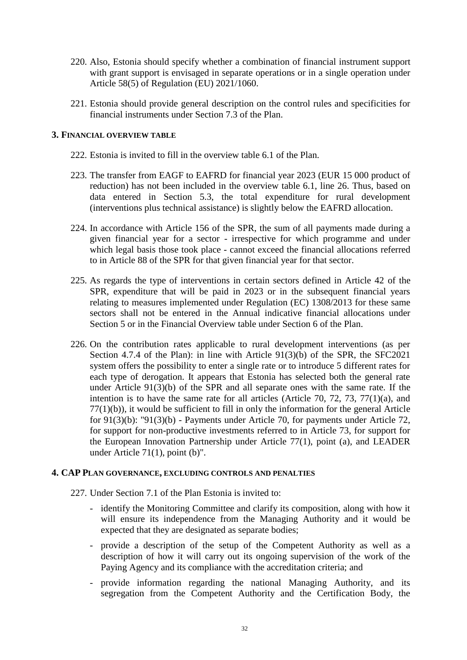- 220. Also, Estonia should specify whether a combination of financial instrument support with grant support is envisaged in separate operations or in a single operation under Article 58(5) of Regulation (EU) 2021/1060.
- 221. Estonia should provide general description on the control rules and specificities for financial instruments under Section 7.3 of the Plan.

#### **3. FINANCIAL OVERVIEW TABLE**

- 222. Estonia is invited to fill in the overview table 6.1 of the Plan.
- 223. The transfer from EAGF to EAFRD for financial year 2023 (EUR 15 000 product of reduction) has not been included in the overview table 6.1, line 26. Thus, based on data entered in Section 5.3, the total expenditure for rural development (interventions plus technical assistance) is slightly below the EAFRD allocation.
- 224. In accordance with Article 156 of the SPR, the sum of all payments made during a given financial year for a sector - irrespective for which programme and under which legal basis those took place - cannot exceed the financial allocations referred to in Article 88 of the SPR for that given financial year for that sector.
- 225. As regards the type of interventions in certain sectors defined in Article 42 of the SPR, expenditure that will be paid in 2023 or in the subsequent financial years relating to measures implemented under Regulation (EC) 1308/2013 for these same sectors shall not be entered in the Annual indicative financial allocations under Section 5 or in the Financial Overview table under Section 6 of the Plan.
- 226. On the contribution rates applicable to rural development interventions (as per Section 4.7.4 of the Plan): in line with Article 91(3)(b) of the SPR, the SFC2021 system offers the possibility to enter a single rate or to introduce 5 different rates for each type of derogation. It appears that Estonia has selected both the general rate under Article 91(3)(b) of the SPR and all separate ones with the same rate. If the intention is to have the same rate for all articles (Article 70, 72, 73, 77(1)(a), and 77(1)(b)), it would be sufficient to fill in only the information for the general Article for 91(3)(b): "91(3)(b) - Payments under Article 70, for payments under Article 72, for support for non-productive investments referred to in Article 73, for support for the European Innovation Partnership under Article 77(1), point (a), and LEADER under Article 71(1), point (b)".

#### **4. CAP PLAN GOVERNANCE, EXCLUDING CONTROLS AND PENALTIES**

- 227. Under Section 7.1 of the Plan Estonia is invited to:
	- identify the Monitoring Committee and clarify its composition, along with how it will ensure its independence from the Managing Authority and it would be expected that they are designated as separate bodies;
	- provide a description of the setup of the Competent Authority as well as a description of how it will carry out its ongoing supervision of the work of the Paying Agency and its compliance with the accreditation criteria; and
	- provide information regarding the national Managing Authority, and its segregation from the Competent Authority and the Certification Body, the